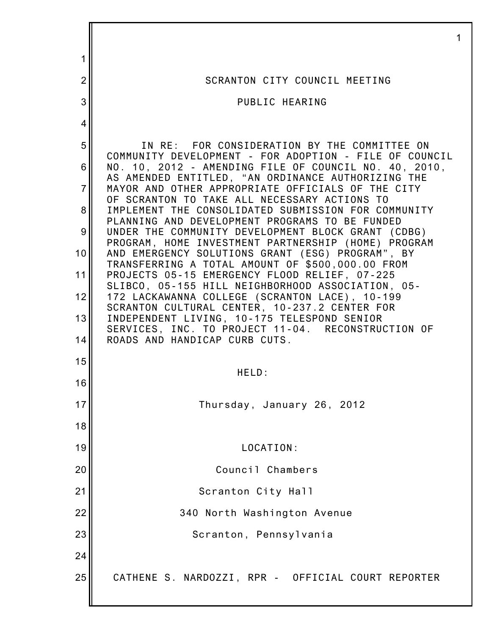| 1              |                                                                                                                 |
|----------------|-----------------------------------------------------------------------------------------------------------------|
| $\overline{2}$ | SCRANTON CITY COUNCIL MEETING                                                                                   |
| 3              | PUBLIC HEARING                                                                                                  |
| 4              |                                                                                                                 |
| 5              | IN RE: FOR CONSIDERATION BY THE COMMITTEE ON                                                                    |
| 6              | COMMUNITY DEVELOPMENT - FOR ADOPTION - FILE OF COUNCIL<br>NO. 10, 2012 - AMENDING FILE OF COUNCIL NO. 40, 2010, |
| $\overline{7}$ | AS AMENDED ENTITLED, "AN ORDINANCE AUTHORIZING THE<br>MAYOR AND OTHER APPROPRIATE OFFICIALS OF THE CITY         |
| 8              | OF SCRANTON TO TAKE ALL NECESSARY ACTIONS TO<br>IMPLEMENT THE CONSOLIDATED SUBMISSION FOR COMMUNITY             |
| 9              | PLANNING AND DEVELOPMENT PROGRAMS TO BE FUNDED<br>UNDER THE COMMUNITY DEVELOPMENT BLOCK GRANT (CDBG)            |
| 10             | PROGRAM, HOME INVESTMENT PARTNERSHIP (HOME) PROGRAM<br>AND EMERGENCY SOLUTIONS GRANT (ESG) PROGRAM", BY         |
| 11             | TRANSFERRING A TOTAL AMOUNT OF \$500,000.00 FROM<br>PROJECTS 05-15 EMERGENCY FLOOD RELIEF, 07-225               |
| 12             | SLIBCO, 05-155 HILL NEIGHBORHOOD ASSOCIATION, 05-<br>172 LACKAWANNA COLLEGE (SCRANTON LACE), 10-199             |
| 13             | SCRANTON CULTURAL CENTER, 10-237.2 CENTER FOR<br>INDEPENDENT LIVING, 10-175 TELESPOND SENIOR                    |
| 14             | SERVICES, INC. TO PROJECT 11-04. RECONSTRUCTION OF<br>ROADS AND HANDICAP CURB CUTS.                             |
| 15             |                                                                                                                 |
| 16             | HELD:                                                                                                           |
| 17             | Thursday, January 26, 2012                                                                                      |
| 18             |                                                                                                                 |
| 19             | LOCATION:                                                                                                       |
| 20             | Council Chambers                                                                                                |
| 21             | Scranton City Hall                                                                                              |
| 22             | 340 North Washington Avenue                                                                                     |
| 23             | Scranton, Pennsylvania                                                                                          |
| 24             |                                                                                                                 |
| 25             | CATHENE S. NARDOZZI, RPR - OFFICIAL COURT REPORTER                                                              |
|                |                                                                                                                 |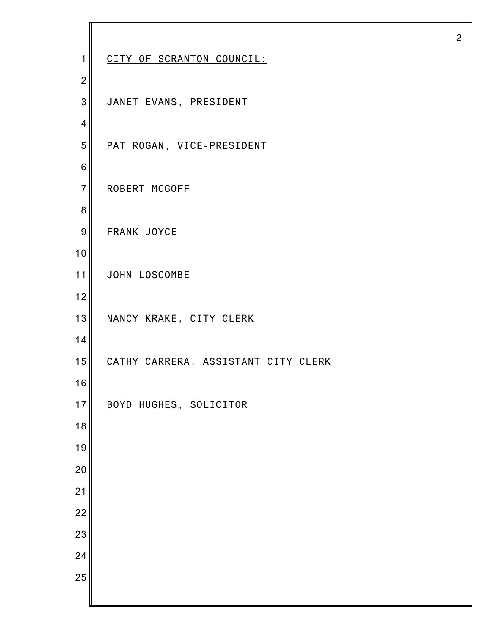| 1                | CITY OF SCRANTON COUNCIL:           |
|------------------|-------------------------------------|
| $\boldsymbol{2}$ |                                     |
| 3                | JANET EVANS, PRESIDENT              |
| $\overline{4}$   |                                     |
| 5                | PAT ROGAN, VICE-PRESIDENT           |
| $\,6$            |                                     |
| $\overline{7}$   | ROBERT MCGOFF                       |
| 8                |                                     |
| $\boldsymbol{9}$ | FRANK JOYCE                         |
| 10               |                                     |
| 11               | JOHN LOSCOMBE                       |
| 12               |                                     |
| 13               | NANCY KRAKE, CITY CLERK             |
| 14               |                                     |
| 15               | CATHY CARRERA, ASSISTANT CITY CLERK |
| 16               |                                     |
| 17               | BOYD HUGHES, SOLICITOR              |
| 18               |                                     |
| 19               |                                     |
| 20               |                                     |
| 21               |                                     |
| 22               |                                     |
| 23               |                                     |
| 24               |                                     |
| 25               |                                     |
|                  |                                     |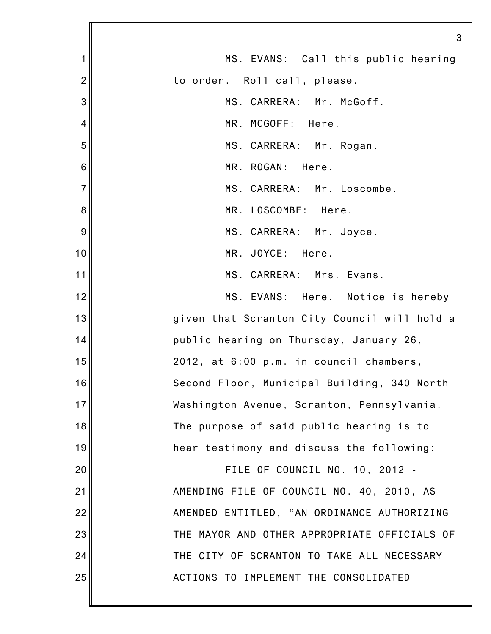|                | 3                                            |
|----------------|----------------------------------------------|
| 1              | MS. EVANS: Call this public hearing          |
| $\overline{2}$ | to order. Roll call, please.                 |
| 3              | MS. CARRERA: Mr. McGoff.                     |
| 4              | MR. MCGOFF: Here.                            |
| 5              | MS. CARRERA: Mr. Rogan.                      |
| 6              | MR. ROGAN: Here.                             |
| $\overline{7}$ | MS. CARRERA: Mr. Loscombe.                   |
| 8              | MR. LOSCOMBE: Here.                          |
| 9              | MS. CARRERA: Mr. Joyce.                      |
| 10             | MR. JOYCE: Here.                             |
| 11             | MS. CARRERA: Mrs. Evans.                     |
| 12             | MS. EVANS: Here. Notice is hereby            |
| 13             | given that Scranton City Council will hold a |
| 14             | public hearing on Thursday, January 26,      |
| 15             | 2012, at 6:00 p.m. in council chambers,      |
| 16             | Second Floor, Municipal Building, 340 North  |
| 17             | Washington Avenue, Scranton, Pennsylvania.   |
| 18             | The purpose of said public hearing is to     |
| 19             | hear testimony and discuss the following:    |
| 20             | FILE OF COUNCIL NO. 10, 2012 -               |
| 21             | AMENDING FILE OF COUNCIL NO. 40, 2010, AS    |
| 22             | AMENDED ENTITLED, "AN ORDINANCE AUTHORIZING  |
| 23             | THE MAYOR AND OTHER APPROPRIATE OFFICIALS OF |
| 24             | THE CITY OF SCRANTON TO TAKE ALL NECESSARY   |
| 25             | ACTIONS TO IMPLEMENT THE CONSOLIDATED        |
|                |                                              |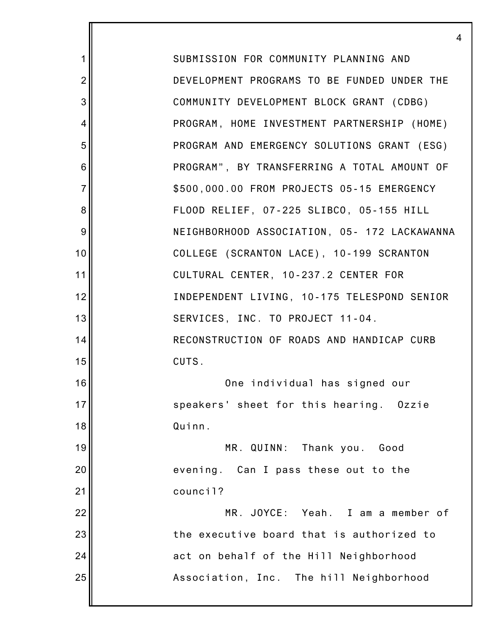SUBMISSION FOR COMMUNITY PLANNING AND DEVELOPMENT PROGRAMS TO BE FUNDED UNDER THE COMMUNITY DEVELOPMENT BLOCK GRANT (CDBG) PROGRAM, HOME INVESTMENT PARTNERSHIP (HOME) PROGRAM AND EMERGENCY SOLUTIONS GRANT (ESG) PROGRAM", BY TRANSFERRING A TOTAL AMOUNT OF \$500,000.00 FROM PROJECTS 05-15 EMERGENCY FLOOD RELIEF, 07-225 SLIBCO, 05-155 HILL NEIGHBORHOOD ASSOCIATION, 05- 172 LACKAWANNA COLLEGE (SCRANTON LACE), 10-199 SCRANTON CULTURAL CENTER, 10-237.2 CENTER FOR INDEPENDENT LIVING, 10-175 TELESPOND SENIOR SERVICES, INC. TO PROJECT 11-04. RECONSTRUCTION OF ROADS AND HANDICAP CURB CUTS. One individual has signed our speakers' sheet for this hearing. Ozzie Quinn. MR. QUINN: Thank you. Good evening. Can I pass these out to the council? MR. JOYCE: Yeah. I am a member of the executive board that is authorized to act on behalf of the Hill Neighborhood Association, Inc. The hill Neighborhood

1

2

3

4

5

6

7

8

9

10

11

12

13

14

15

16

17

18

19

20

21

22

23

24

25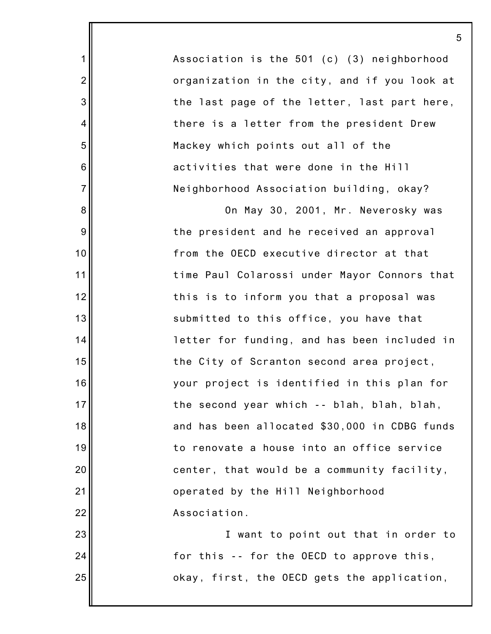Association is the 501 (c) (3) neighborhood organization in the city, and if you look at the last page of the letter, last part here, there is a letter from the president Drew Mackey which points out all of the activities that were done in the Hill Neighborhood Association building, okay?

1

2

3

4

5

6

7

8

9

10

11

12

13

14

15

16

17

18

19

20

21

22

23

24

25

On May 30, 2001, Mr. Neverosky was the president and he received an approval from the OECD executive director at that time Paul Colarossi under Mayor Connors that this is to inform you that a proposal was submitted to this office, you have that letter for funding, and has been included in the City of Scranton second area project, your project is identified in this plan for the second year which -- blah, blah, blah, and has been allocated \$30,000 in CDBG funds to renovate a house into an office service center, that would be a community facility, operated by the Hill Neighborhood Association.

I want to point out that in order to for this -- for the OECD to approve this, okay, first, the OECD gets the application,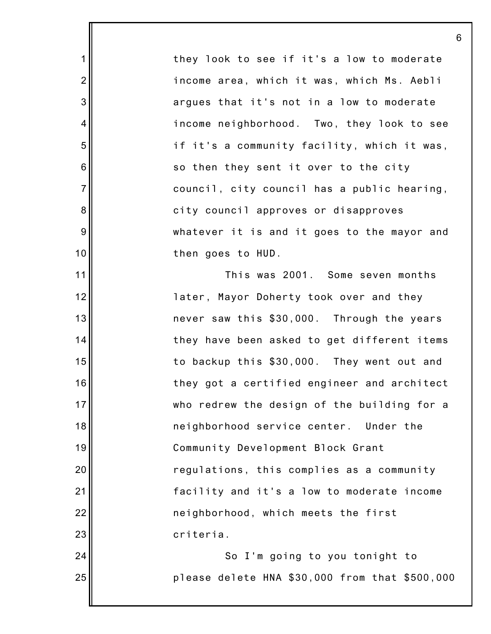they look to see if it's a low to moderate income area, which it was, which Ms. Aebli argues that it's not in a low to moderate income neighborhood. Two, they look to see if it's a community facility, which it was, so then they sent it over to the city council, city council has a public hearing, city council approves or disapproves whatever it is and it goes to the mayor and then goes to HUD.

6

1

2

3

4

5

6

7

8

9

10

11

12

13

14

15

16

17

18

19

20

21

22

23

24

25

This was 2001. Some seven months later, Mayor Doherty took over and they never saw this \$30,000. Through the years they have been asked to get different items to backup this \$30,000. They went out and they got a certified engineer and architect who redrew the design of the building for a neighborhood service center. Under the Community Development Block Grant regulations, this complies as a community facility and it's a low to moderate income neighborhood, which meets the first criteria.

So I'm going to you tonight to please delete HNA \$30,000 from that \$500,000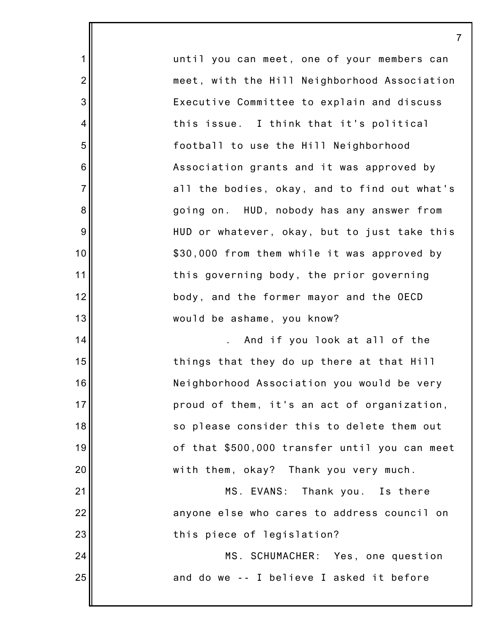until you can meet, one of your members can meet, with the Hill Neighborhood Association Executive Committee to explain and discuss this issue. I think that it's political football to use the Hill Neighborhood Association grants and it was approved by all the bodies, okay, and to find out what's going on. HUD, nobody has any answer from HUD or whatever, okay, but to just take this \$30,000 from them while it was approved by this governing body, the prior governing body, and the former mayor and the OECD would be ashame, you know? . And if you look at all of the

7

1

2

3

4

5

6

7

8

9

10

11

12

13

14

15

16

17

18

19

20

21

22

23

24

25

things that they do up there at that Hill Neighborhood Association you would be very proud of them, it's an act of organization, so please consider this to delete them out of that \$500,000 transfer until you can meet with them, okay? Thank you very much.

MS. EVANS: Thank you. Is there anyone else who cares to address council on this piece of legislation?

> MS. SCHUMACHER: Yes, one question and do we -- I believe I asked it before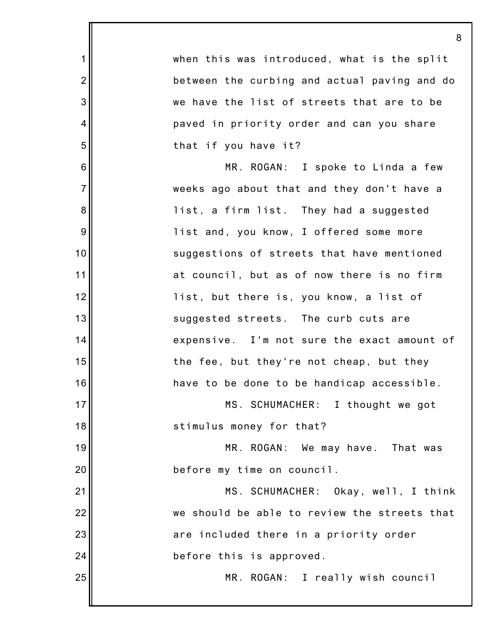|                | 8                                            |
|----------------|----------------------------------------------|
| $\mathbf 1$    | when this was introduced, what is the split  |
| $\overline{2}$ | between the curbing and actual paving and do |
| 3              | we have the list of streets that are to be   |
| 4              | paved in priority order and can you share    |
| 5              | that if you have it?                         |
| 6              | MR. ROGAN: I spoke to Linda a few            |
| $\overline{7}$ | weeks ago about that and they don't have a   |
| 8              | list, a firm list. They had a suggested      |
| 9              | list and, you know, I offered some more      |
| 10             | suggestions of streets that have mentioned   |
| 11             | at council, but as of now there is no firm   |
| 12             | list, but there is, you know, a list of      |
| 13             | suggested streets. The curb cuts are         |
| 14             | expensive. I'm not sure the exact amount of  |
| 15             | the fee, but they're not cheap, but they     |
| 16             | have to be done to be handicap accessible.   |
| 17             | MS. SCHUMACHER: I thought we got             |
| 18             | stimulus money for that?                     |
| 19             | MR. ROGAN: We may have. That was             |
| 20             | before my time on council.                   |
| 21             | MS. SCHUMACHER: Okay, well, I think          |
| 22             | we should be able to review the streets that |
| 23             | are included there in a priority order       |
| 24             | before this is approved.                     |
| 25             | MR. ROGAN: I really wish council             |
|                |                                              |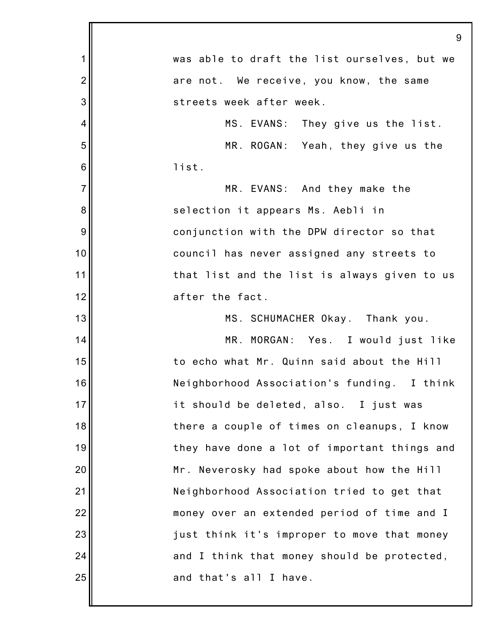|                | 9                                            |
|----------------|----------------------------------------------|
| 1              | was able to draft the list ourselves, but we |
| $\overline{2}$ | are not. We receive, you know, the same      |
| 3              | streets week after week.                     |
| 4              | MS. EVANS: They give us the list.            |
| 5              | MR. ROGAN: Yeah, they give us the            |
| 6              | list.                                        |
| $\overline{7}$ | MR. EVANS: And they make the                 |
| 8              | selection it appears Ms. Aebli in            |
| 9              | conjunction with the DPW director so that    |
| 10             | council has never assigned any streets to    |
| 11             | that list and the list is always given to us |
| 12             | after the fact.                              |
| 13             | MS. SCHUMACHER Okay. Thank you.              |
| 14             | MR. MORGAN: Yes. I would just like           |
| 15             | to echo what Mr. Quinn said about the Hill   |
| 16             | Neighborhood Association's funding. I think  |
| 17             | it should be deleted, also. I just was       |
| 18             | there a couple of times on cleanups, I know  |
| 19             | they have done a lot of important things and |
| 20             | Mr. Neverosky had spoke about how the Hill   |
| 21             | Neighborhood Association tried to get that   |
| 22             | money over an extended period of time and I  |
| 23             | just think it's improper to move that money  |
| 24             | and I think that money should be protected,  |
| 25             | and that's all I have.                       |
|                |                                              |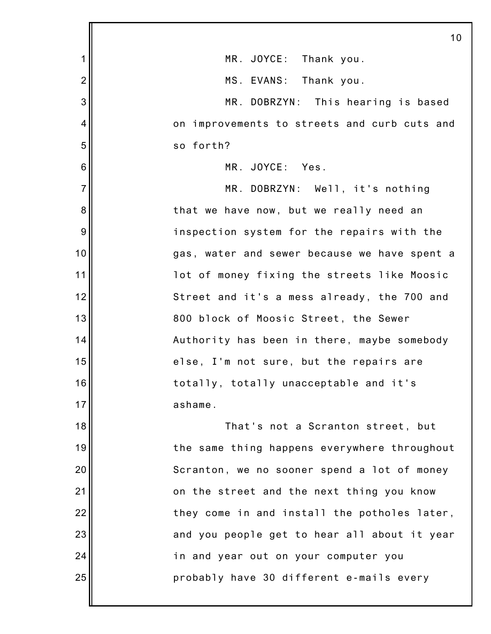|                | 10                                           |
|----------------|----------------------------------------------|
| 1              | MR. JOYCE: Thank you.                        |
| $\overline{2}$ | MS. EVANS: Thank you.                        |
| 3              | MR. DOBRZYN: This hearing is based           |
| 4              | on improvements to streets and curb cuts and |
| 5              | so forth?                                    |
| 6              | MR. JOYCE: Yes.                              |
| $\overline{7}$ | MR. DOBRZYN: Well, it's nothing              |
| 8              | that we have now, but we really need an      |
| 9              | inspection system for the repairs with the   |
| 10             | gas, water and sewer because we have spent a |
| 11             | lot of money fixing the streets like Moosic  |
| 12             | Street and it's a mess already, the 700 and  |
| 13             | 800 block of Moosic Street, the Sewer        |
| 14             | Authority has been in there, maybe somebody  |
| 15             | else, I'm not sure, but the repairs are      |
| 16             | totally, totally unacceptable and it's       |
| 17             | ashame.                                      |
| 18             | That's not a Scranton street, but            |
| 19             | the same thing happens everywhere throughout |
| 20             | Scranton, we no sooner spend a lot of money  |
| 21             | on the street and the next thing you know    |
| 22             | they come in and install the potholes later, |
| 23             | and you people get to hear all about it year |
| 24             | in and year out on your computer you         |
| 25             | probably have 30 different e-mails every     |
|                |                                              |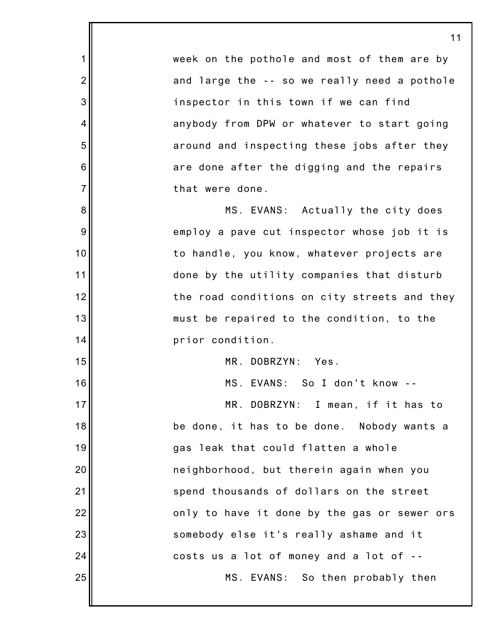week on the pothole and most of them are by and large the -- so we really need a pothole inspector in this town if we can find anybody from DPW or whatever to start going around and inspecting these jobs after they are done after the digging and the repairs that were done.

1

2

3

4

5

6

7

8

9

10

11

12

13

14

15

16

MS. EVANS: Actually the city does employ a pave cut inspector whose job it is to handle, you know, whatever projects are done by the utility companies that disturb the road conditions on city streets and they must be repaired to the condition, to the prior condition.

MR. DOBRZYN: Yes.

MS. EVANS: So I don't know --

17 18 19 20 21 22 23 24 25 MR. DOBRZYN: I mean, if it has to be done, it has to be done. Nobody wants a gas leak that could flatten a whole neighborhood, but therein again when you spend thousands of dollars on the street only to have it done by the gas or sewer ors somebody else it's really ashame and it costs us a lot of money and a lot of -- MS. EVANS: So then probably then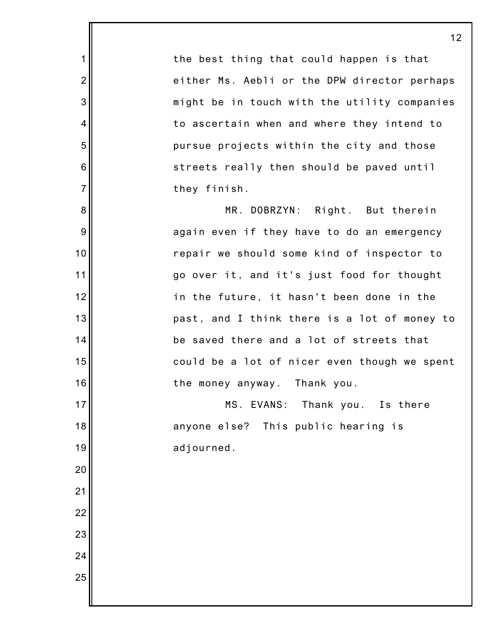the best thing that could happen is that either Ms. Aebli or the DPW director perhaps might be in touch with the utility companies to ascertain when and where they intend to pursue projects within the city and those streets really then should be paved until they finish.

1

2

3

4

5

6

7

8

9

10

11

12

13

14

15

16

17

18

19

20

21

22

23

24

25

MR. DOBRZYN: Right. But therein again even if they have to do an emergency repair we should some kind of inspector to go over it, and it's just food for thought in the future, it hasn't been done in the past, and I think there is a lot of money to be saved there and a lot of streets that could be a lot of nicer even though we spent the money anyway. Thank you.

MS. EVANS: Thank you. Is there anyone else? This public hearing is adjourned.